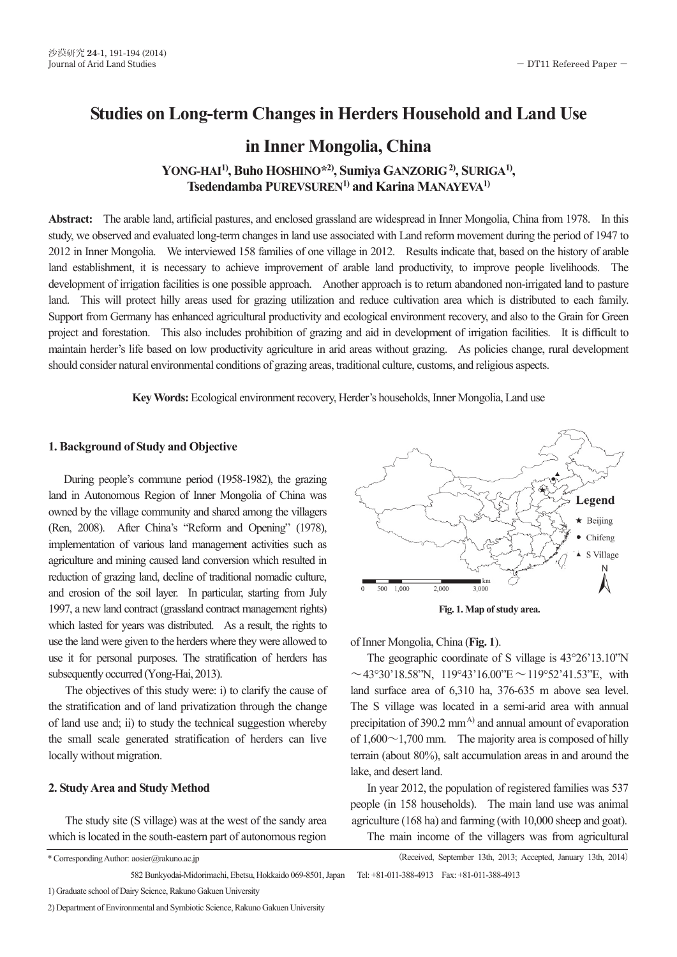# **Studies on Long-term Changes in Herders Household and Land Use**

## **in Inner Mongolia, China**

**YONG-HAI1), Buho HOSHINO\*2), Sumiya GANZORIG 2), SURIGA1), Tsedendamba PUREVSUREN1) and Karina MANAYEVA1)** 

**Abstract:** The arable land, artificial pastures, and enclosed grassland are widespread in Inner Mongolia, China from 1978. In this study, we observed and evaluated long-term changes in land use associated with Land reform movement during the period of 1947 to 2012 in Inner Mongolia. We interviewed 158 families of one village in 2012. Results indicate that, based on the history of arable land establishment, it is necessary to achieve improvement of arable land productivity, to improve people livelihoods. The development of irrigation facilities is one possible approach. Another approach is to return abandoned non-irrigated land to pasture land. This will protect hilly areas used for grazing utilization and reduce cultivation area which is distributed to each family. Support from Germany has enhanced agricultural productivity and ecological environment recovery, and also to the Grain for Green project and forestation. This also includes prohibition of grazing and aid in development of irrigation facilities. It is difficult to maintain herder's life based on low productivity agriculture in arid areas without grazing. As policies change, rural development should consider natural environmental conditions of grazing areas, traditional culture, customs, and religious aspects.

**Key Words:** Ecological environment recovery, Herder's households, Inner Mongolia, Land use

## **1. Background of Study and Objective**

 During people's commune period (1958-1982), the grazing land in Autonomous Region of Inner Mongolia of China was owned by the village community and shared among the villagers (Ren, 2008). After China's "Reform and Opening" (1978), implementation of various land management activities such as agriculture and mining caused land conversion which resulted in reduction of grazing land, decline of traditional nomadic culture, and erosion of the soil layer. In particular, starting from July 1997, a new land contract (grassland contract management rights) which lasted for years was distributed. As a result, the rights to use the land were given to the herders where they were allowed to use it for personal purposes. The stratification of herders has subsequently occurred (Yong-Hai, 2013).

 The objectives of this study were: i) to clarify the cause of the stratification and of land privatization through the change of land use and; ii) to study the technical suggestion whereby the small scale generated stratification of herders can live locally without migration.

## **2. Study Area and Study Method**

 The study site (S village) was at the west of the sandy area which is located in the south-eastern part of autonomous region



**Fig. 1. Map of study area.** 

of Inner Mongolia, China (**Fig. 1**).

The geographic coordinate of S village is 43°26'13.10"N  $\sim$ 43°30'18.58"N, 119°43'16.00"E $\sim$ 119°52'41.53"E, with land surface area of 6,310 ha, 376-635 m above sea level. The S village was located in a semi-arid area with annual precipitation of  $390.2 \text{ mm}^{A}$  and annual amount of evaporation of  $1,600 \sim 1,700$  mm. The majority area is composed of hilly terrain (about 80%), salt accumulation areas in and around the lake, and desert land.

 In year 2012, the population of registered families was 537 people (in 158 households). The main land use was animal agriculture (168 ha) and farming (with 10,000 sheep and goat). The main income of the villagers was from agricultural

(Received, September 13th, 2013; Accepted, January 13th, 2014)

\* Corresponding Author: aosier@rakuno.ac.jp

582 Bunkyodai-Midorimachi, Ebetsu, Hokkaido 069-8501, Japan Tel: +81-011-388-4913 Fax: +81-011-388-4913

<sup>1)</sup> Graduate school of Dairy Science, Rakuno Gakuen University

<sup>2)</sup> Department of Environmental and Symbiotic Science, Rakuno Gakuen University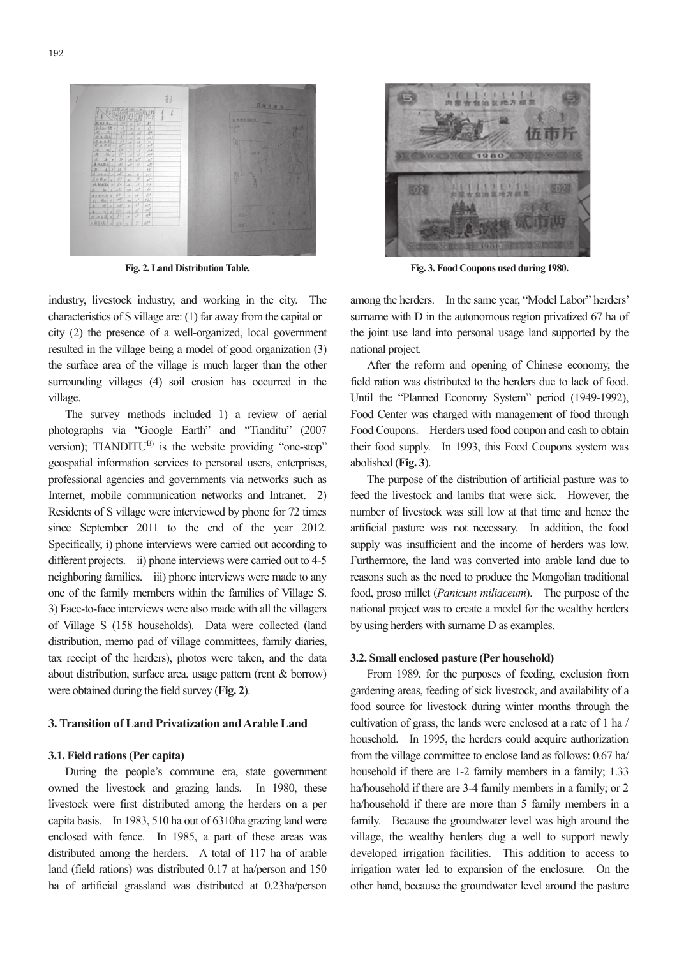

**Fig. 2. Land Distribution Table. Fig. 2. Land Distribution Table. Fig. 2. Land Distribution Table.** 

industry, livestock industry, and working in the city. The am characteristics of S village are: (1) far away from the capital or su city (2) the presence of a well-organized, local government city (2) the presence of a well-organized, local government city (2) the presence of a well-organized, local government resulted in the village being a model of good organization (3) nat the surface area of the village is much larger than the other the surface area of the village is much larger than the other the surface area of the village is much larger than the other surrounding villages (4) soil erosion has occurred in the fiel village. village.

The survey methods included 1) a review of aerial Form photographs via "Google Earth" and "Tianditu" (2007 photographs via "Google Earth" and "Tianditu" (2007 photographs via "Google Earth" and "Tianditu" (2007 version); TIANDITU<sup>B)</sup> is the website providing "one-stop" the geospatial information services to personal users, enterprises, geospatial information services to personal users, enterprises, geospatial information services to personal users, enterprises, professional agencies and governments via networks such as professional agencies and governments via networks such as professional agencies and governments via networks such as Internet, mobile communication networks and Intranet. 2) Internet, mobile communication networks and Intranet. 2) Internet, mobile communication networks and Intranet. 2) Residents of S village were interviewed by phone for 72 times Residents of S village were interviewed by phone for 72 times Residents of S village were interviewed by phone for 72 times since September 2011 to the end of the year 2012. since September 2011 to the end of the year 2012. since September 2011 to the end of the year 2012. Specifically, i) phone interviews were carried out according to Specifically, i) phone interviews were carried out according to Specifically, i) phone interviews were carried out according to different projects. ii) phone interviews were carried out to 4-5 Full neighboring families. iii) phone interviews were made to any neighboring families. iii) phone interviews were made to any neighboring families. iii) phone interviews were made to any one of the family members within the families of Village S. foc 3) Face-to-face interviews were also made with all the villagers 3) Face-to-face interviews were also made with all the villagers 3) Face-to-face interviews were also made with all the villagers of Village S (158 households). Data were collected (land by distribution, memo pad of village committees, family diaries, distribution, memo pad of village committees, family diaries, distribution, memo pad of village committees, family diaries, tax receipt of the herders), photos were taken, and the data 3.2 about distribution, surface area, usage pattern (rent & borrow) about distribution, surface area, usage pattern (rent & borrow) about distribution, surface area, usage pattern (rent & borrow) were obtained during the field survey (**Fig. 2**). were obtained during the field survey (**Fig. 2**). were obtained during the field survey (**Fig. 2**).

### **3. Transition of Land Privatization and Arable Land 3. Transition of Land Privatization and Arable Land 3. Transition of Land Privatization and Arable Land**

#### **3.1. Field rations (Per capita) 3.1. Field rations (Per capita) 3.1. Field rations (Per capita)**

 During the people's commune era, state government During the people's commune era, state government During the people's commune era, state government owned the livestock and grazing lands. In 1980, these ha/ livestock were first distributed among the herders on a per livestock were first distributed among the herders on a per livestock were first distributed among the herders on a per capita basis. In 1983, 510 ha out of 6310ha grazing land were capita basis. In 1983, 510 ha out of 6310ha grazing land were capita basis. In 1983, 510 ha out of 6310ha grazing land were enclosed with fence. In 1985, a part of these areas was enclosed with fence. In 1985, a part of these areas was enclosed with fence. In 1985, a part of these areas was distributed among the herders. A total of 117 ha of arable dev land (field rations) was distributed 0.17 at ha/person and 150 land (field rations) was distributed 0.17 at ha/person and 150 land (field rations) was distributed 0.17 at ha/person and 150 ha of artificial grassland was distributed at 0.23ha/person ha of artificial grassland was distributed at 0.23ha/person ha of artificial grassland was distributed at 0.23ha/person



**Fig. 3. Food Coupons used during 1980. Fig. 3. Food Coupons used during 1980. Fig. 3. Food Coupons used during 1980.** 

among the herders. In the same year, "Model Labor" herders' among the herders. In the same year, "Model Labor" herders' among the herders. In the same year, "Model Labor" herders' surname with D in the autonomous region privatized 67 ha of the joint use land into personal usage land supported by the the joint use land into personal usage land supported by the the joint use land into personal usage land supported by the national project. national project. national project.

After the reform and opening of Chinese economy, the field ration was distributed to the herders due to lack of food. field ration was distributed to the herders due to lack of food. field ration was distributed to the herders due to lack of food. Until the "Planned Economy System" period (1949-1992), Until the "Planned Economy System" period (1949-1992), Until the "Planned Economy System" period (1949-1992), Food Center was charged with management of food through Food Center was charged with management of food through Food Center was charged with management of food through Food Coupons. Herders used food coupon and cash to obtain Food Coupons. Herders used food coupon and cash to obtain Food Coupons. Herders used food coupon and cash to obtain their food supply. In 1993, this Food Coupons system was their food supply. In 1993, this Food Coupons system was their food supply. In 1993, this Food Coupons system was abolished (**Fig. 3**). abolished (**Fig. 3**). abolished (**Fig. 3**).

The purpose of the distribution of artificial pasture was to The purpose of the distribution of artificial pasture was to The purpose of the distribution of artificial pasture was to feed the livestock and lambs that were sick. However, the feed the livestock and lambs that were sick. However, the feed the livestock and lambs that were sick. However, the number of livestock was still low at that time and hence the artificial pasture was not necessary. In addition, the food artificial pasture was not necessary. In addition, the food artificial pasture was not necessary. In addition, the food supply was insufficient and the income of herders was low. supply was insufficient and the income of herders was low. supply was insufficient and the income of herders was low. Furthermore, the land was converted into arable land due to Furthermore, the land was converted into arable land due to Furthermore, the land was converted into arable land due to reasons such as the need to produce the Mongolian traditional food, proso millet (*Panicum miliaceum*). The purpose of the national project was to create a model for the wealthy herders national project was to create a model for the wealthy herders national project was to create a model for the wealthy herders by using herders with surname D as examples. by using herders with surname D as examples. by using herders with surname D as examples.

#### **3.2. Small enclosed pasture (Per household) 3.2. Small enclosed pasture (Per household) 3.2. Small enclosed pasture (Per household)**

 From 1989, for the purposes of feeding, exclusion from From 1989, for the purposes of feeding, exclusion from From 1989, for the purposes of feeding, exclusion from gardening areas, feeding of sick livestock, and availability of a gardening areas, feeding of sick livestock, and availability of a gardening areas, feeding of sick livestock, and availability of a food source for livestock during winter months through the food source for livestock during winter months through the food source for livestock during winter months through the cultivation of grass, the lands were enclosed at a rate of 1 ha / cultivation of grass, the lands were enclosed at a rate of 1 ha / cultivation of grass, the lands were enclosed at a rate of 1 ha / household. In 1995, the herders could acquire authorization household. In 1995, the herders could acquire authorization household. In 1995, the herders could acquire authorization from the village committee to enclose land as follows: 0.67 ha/ from the village committee to enclose land as follows: 0.67 ha/ from the village committee to enclose land as follows: 0.67 ha/ household if there are 1-2 family members in a family; 1.33 household if there are 1-2 family members in a family; 1.33 household if there are 1-2 family members in a family; 1.33 ha/household if there are 3-4 family members in a family; or 2 ha/household if there are 3-4 family members in a family; or 2 ha/household if there are 3-4 family members in a family; or 2 ha/household if there are more than 5 family members in a ha/household if there are more than 5 family members in a ha/household if there are more than 5 family members in a family. Because the groundwater level was high around the family. Because the groundwater level was high around the family. Because the groundwater level was high around the village, the wealthy herders dug a well to support newly village, the wealthy herders dug a well to support newly village, the wealthy herders dug a well to support newly developed irrigation facilities. This addition to access to developed irrigation facilities. This addition to access to developed irrigation facilities. This addition to access to irrigation water led to expansion of the enclosure. On the irrigation water led to expansion of the enclosure. On the irrigation water led to expansion of the enclosure. On the other hand, because the groundwater level around the pasture other hand, because the groundwater level around the pasture other hand, because the groundwater level around the pasture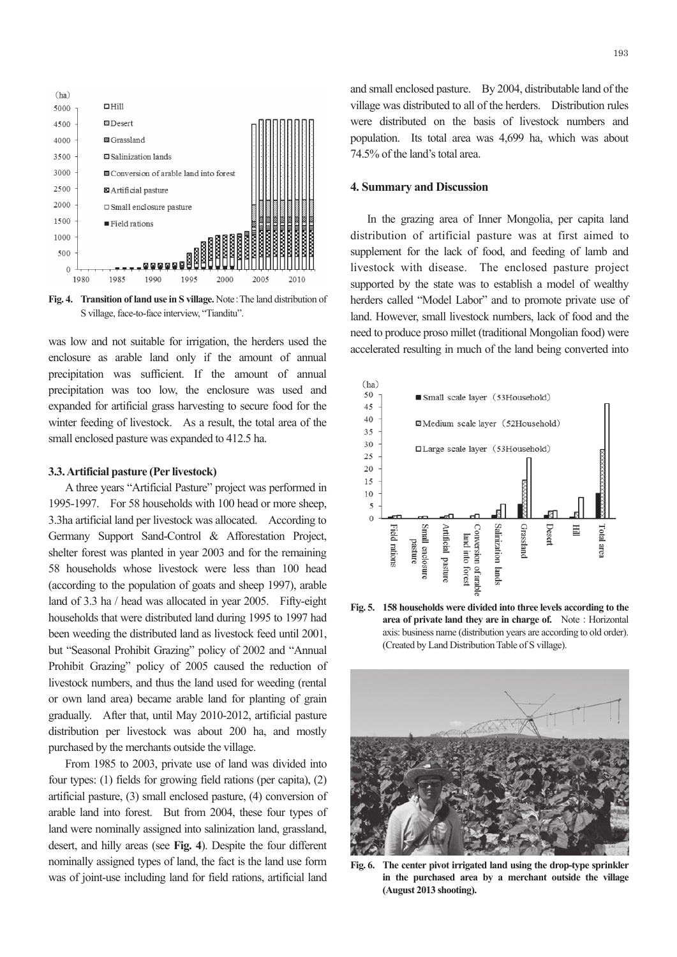

**Fig. 4. Transition of land use in S village.** Note: The land distribution of S village, face-to-face interview, "Tianditu".

was low and not suitable for irrigation, the herders used the enclosure as arable land only if the amount of annual precipitation was sufficient. If the amount of annual precipitation was too low, the enclosure was used and expanded for artificial grass harvesting to secure food for the winter feeding of livestock. As a result, the total area of the small enclosed pasture was expanded to 412.5 ha.

#### **3.3. Artificial pasture (Per livestock)**

 A three years "Artificial Pasture" project was performed in 1995-1997. For 58 households with 100 head or more sheep, 3.3ha artificial land per livestock was allocated. According to Germany Support Sand-Control & Afforestation Project, shelter forest was planted in year 2003 and for the remaining 58 households whose livestock were less than 100 head (according to the population of goats and sheep 1997), arable land of 3.3 ha / head was allocated in year 2005. Fifty-eight households that were distributed land during 1995 to 1997 had been weeding the distributed land as livestock feed until 2001, but "Seasonal Prohibit Grazing" policy of 2002 and "Annual Prohibit Grazing" policy of 2005 caused the reduction of livestock numbers, and thus the land used for weeding (rental or own land area) became arable land for planting of grain gradually. After that, until May 2010-2012, artificial pasture distribution per livestock was about 200 ha, and mostly purchased by the merchants outside the village.

 From 1985 to 2003, private use of land was divided into four types: (1) fields for growing field rations (per capita), (2) artificial pasture, (3) small enclosed pasture, (4) conversion of arable land into forest. But from 2004, these four types of land were nominally assigned into salinization land, grassland, desert, and hilly areas (see **Fig. 4**). Despite the four different nominally assigned types of land, the fact is the land use form was of joint-use including land for field rations, artificial land

and small enclosed pasture. By 2004, distributable land of the village was distributed to all of the herders. Distribution rules were distributed on the basis of livestock numbers and population. Its total area was 4,699 ha, which was about 74.5% of the land's total area.

#### **4. Summary and Discussion**

 In the grazing area of Inner Mongolia, per capita land distribution of artificial pasture was at first aimed to supplement for the lack of food, and feeding of lamb and livestock with disease. The enclosed pasture project supported by the state was to establish a model of wealthy herders called "Model Labor" and to promote private use of land. However, small livestock numbers, lack of food and the need to produce proso millet (traditional Mongolian food) were accelerated resulting in much of the land being converted into



**Fig. 5. 158 households were divided into three levels according to the area of private land they are in charge of.** Note: Horizontal axis: business name (distribution years are according to old order). (Created by Land Distribution Table of S village).



**Fig. 6. The center pivot irrigated land using the drop-type sprinkler in the purchased area by a merchant outside the village (August 2013 shooting).**